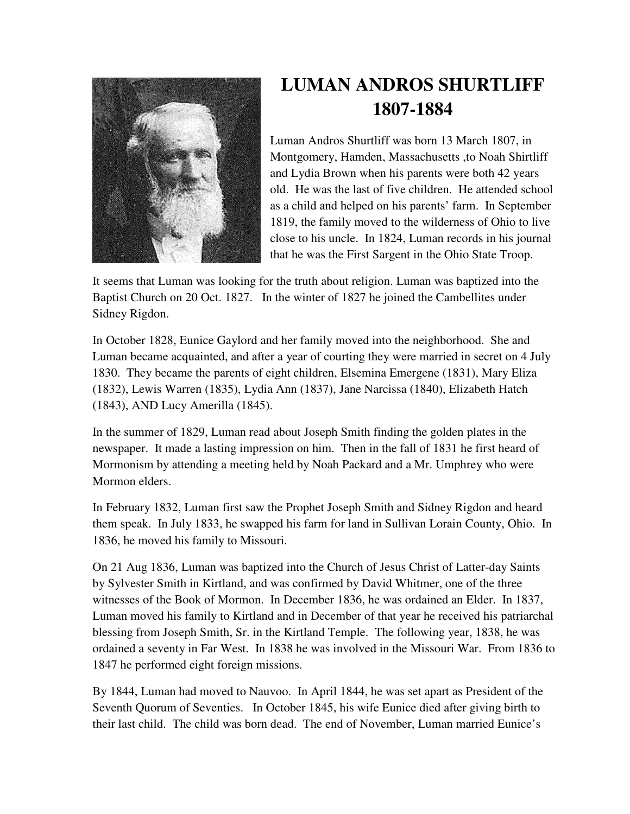

## **LUMAN ANDROS SHURTLIFF 1807-1884**

Luman Andros Shurtliff was born 13 March 1807, in Montgomery, Hamden, Massachusetts ,to Noah Shirtliff and Lydia Brown when his parents were both 42 years old. He was the last of five children. He attended school as a child and helped on his parents' farm. In September 1819, the family moved to the wilderness of Ohio to live close to his uncle. In 1824, Luman records in his journal that he was the First Sargent in the Ohio State Troop.

It seems that Luman was looking for the truth about religion. Luman was baptized into the Baptist Church on 20 Oct. 1827. In the winter of 1827 he joined the Cambellites under Sidney Rigdon.

In October 1828, Eunice Gaylord and her family moved into the neighborhood. She and Luman became acquainted, and after a year of courting they were married in secret on 4 July 1830. They became the parents of eight children, Elsemina Emergene (1831), Mary Eliza (1832), Lewis Warren (1835), Lydia Ann (1837), Jane Narcissa (1840), Elizabeth Hatch (1843), AND Lucy Amerilla (1845).

In the summer of 1829, Luman read about Joseph Smith finding the golden plates in the newspaper. It made a lasting impression on him. Then in the fall of 1831 he first heard of Mormonism by attending a meeting held by Noah Packard and a Mr. Umphrey who were Mormon elders.

In February 1832, Luman first saw the Prophet Joseph Smith and Sidney Rigdon and heard them speak. In July 1833, he swapped his farm for land in Sullivan Lorain County, Ohio. In 1836, he moved his family to Missouri.

On 21 Aug 1836, Luman was baptized into the Church of Jesus Christ of Latter-day Saints by Sylvester Smith in Kirtland, and was confirmed by David Whitmer, one of the three witnesses of the Book of Mormon. In December 1836, he was ordained an Elder. In 1837, Luman moved his family to Kirtland and in December of that year he received his patriarchal blessing from Joseph Smith, Sr. in the Kirtland Temple. The following year, 1838, he was ordained a seventy in Far West. In 1838 he was involved in the Missouri War. From 1836 to 1847 he performed eight foreign missions.

By 1844, Luman had moved to Nauvoo. In April 1844, he was set apart as President of the Seventh Quorum of Seventies. In October 1845, his wife Eunice died after giving birth to their last child. The child was born dead. The end of November, Luman married Eunice's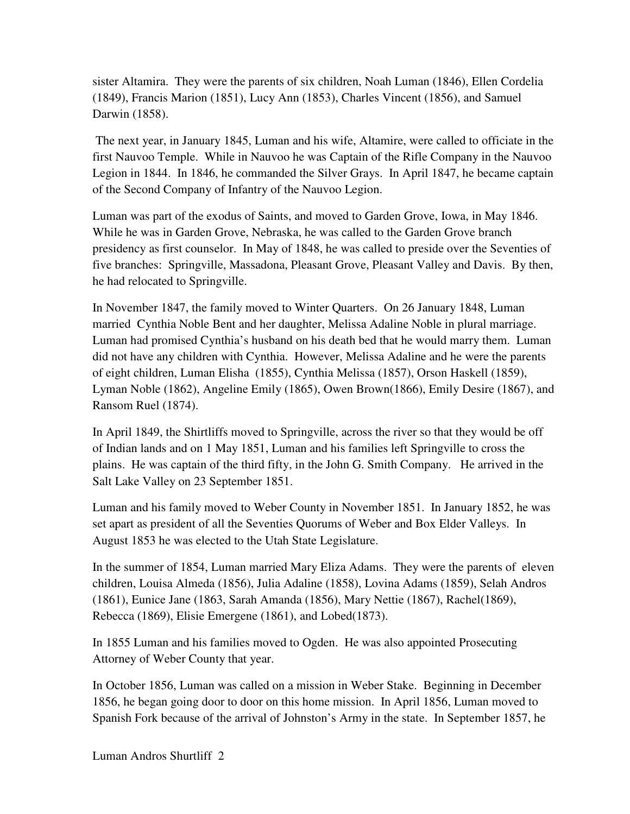sister Altamira. They were the parents of six children, Noah Luman (1846), Ellen Cordelia (1849), Francis Marion (1851), Lucy Ann (1853), Charles Vincent (1856), and Samuel Darwin (1858).

 The next year, in January 1845, Luman and his wife, Altamire, were called to officiate in the first Nauvoo Temple. While in Nauvoo he was Captain of the Rifle Company in the Nauvoo Legion in 1844. In 1846, he commanded the Silver Grays. In April 1847, he became captain of the Second Company of Infantry of the Nauvoo Legion.

Luman was part of the exodus of Saints, and moved to Garden Grove, Iowa, in May 1846. While he was in Garden Grove, Nebraska, he was called to the Garden Grove branch presidency as first counselor. In May of 1848, he was called to preside over the Seventies of five branches: Springville, Massadona, Pleasant Grove, Pleasant Valley and Davis. By then, he had relocated to Springville.

In November 1847, the family moved to Winter Quarters. On 26 January 1848, Luman married Cynthia Noble Bent and her daughter, Melissa Adaline Noble in plural marriage. Luman had promised Cynthia's husband on his death bed that he would marry them. Luman did not have any children with Cynthia. However, Melissa Adaline and he were the parents of eight children, Luman Elisha (1855), Cynthia Melissa (1857), Orson Haskell (1859), Lyman Noble (1862), Angeline Emily (1865), Owen Brown(1866), Emily Desire (1867), and Ransom Ruel (1874).

In April 1849, the Shirtliffs moved to Springville, across the river so that they would be off of Indian lands and on 1 May 1851, Luman and his families left Springville to cross the plains. He was captain of the third fifty, in the John G. Smith Company. He arrived in the Salt Lake Valley on 23 September 1851.

Luman and his family moved to Weber County in November 1851. In January 1852, he was set apart as president of all the Seventies Quorums of Weber and Box Elder Valleys. In August 1853 he was elected to the Utah State Legislature.

In the summer of 1854, Luman married Mary Eliza Adams. They were the parents of eleven children, Louisa Almeda (1856), Julia Adaline (1858), Lovina Adams (1859), Selah Andros (1861), Eunice Jane (1863, Sarah Amanda (1856), Mary Nettie (1867), Rachel(1869), Rebecca (1869), Elisie Emergene (1861), and Lobed(1873).

In 1855 Luman and his families moved to Ogden. He was also appointed Prosecuting Attorney of Weber County that year.

In October 1856, Luman was called on a mission in Weber Stake. Beginning in December 1856, he began going door to door on this home mission. In April 1856, Luman moved to Spanish Fork because of the arrival of Johnston's Army in the state. In September 1857, he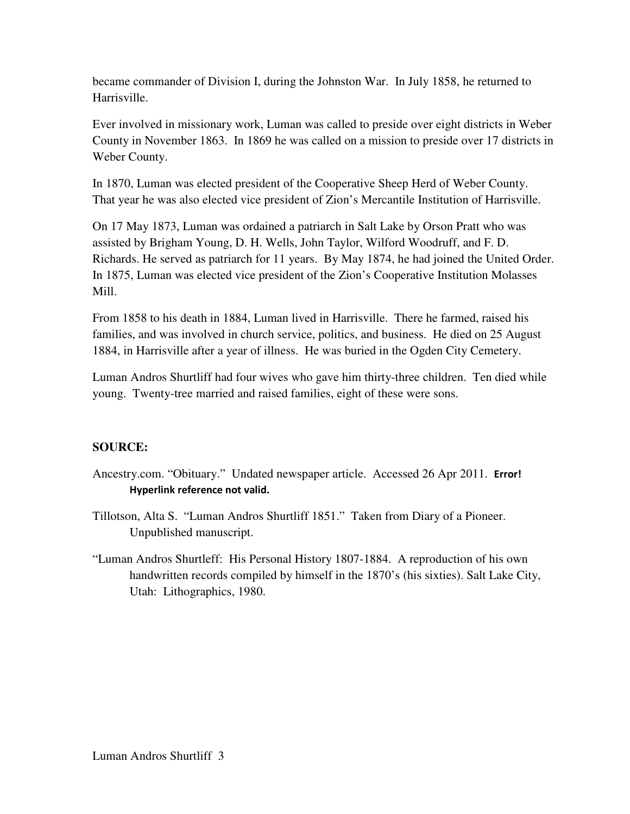became commander of Division I, during the Johnston War. In July 1858, he returned to Harrisville.

Ever involved in missionary work, Luman was called to preside over eight districts in Weber County in November 1863. In 1869 he was called on a mission to preside over 17 districts in Weber County.

In 1870, Luman was elected president of the Cooperative Sheep Herd of Weber County. That year he was also elected vice president of Zion's Mercantile Institution of Harrisville.

On 17 May 1873, Luman was ordained a patriarch in Salt Lake by Orson Pratt who was assisted by Brigham Young, D. H. Wells, John Taylor, Wilford Woodruff, and F. D. Richards. He served as patriarch for 11 years. By May 1874, he had joined the United Order. In 1875, Luman was elected vice president of the Zion's Cooperative Institution Molasses Mill.

From 1858 to his death in 1884, Luman lived in Harrisville. There he farmed, raised his families, and was involved in church service, politics, and business. He died on 25 August 1884, in Harrisville after a year of illness. He was buried in the Ogden City Cemetery.

Luman Andros Shurtliff had four wives who gave him thirty-three children. Ten died while young. Twenty-tree married and raised families, eight of these were sons.

## **SOURCE:**

- Ancestry.com. "Obituary." Undated newspaper article. Accessed 26 Apr 2011. Error! Hyperlink reference not valid.
- Tillotson, Alta S. "Luman Andros Shurtliff 1851." Taken from Diary of a Pioneer. Unpublished manuscript.
- "Luman Andros Shurtleff: His Personal History 1807-1884. A reproduction of his own handwritten records compiled by himself in the 1870's (his sixties). Salt Lake City, Utah: Lithographics, 1980.